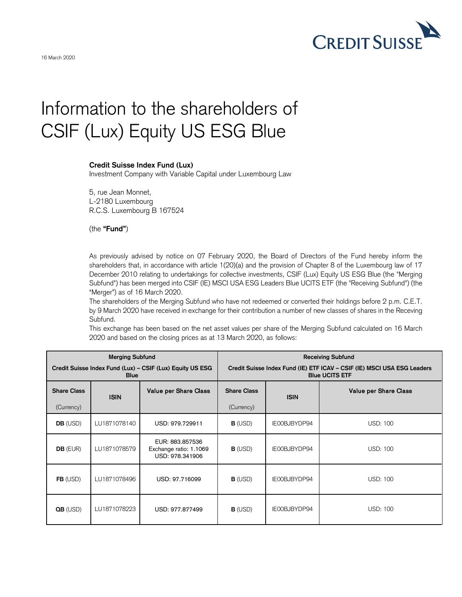

## Information to the shareholders of CSIF (Lux) Equity US ESG Blue

## **Credit Suisse Index Fund (Lux)**

Investment Company with Variable Capital under Luxembourg Law

5, rue Jean Monnet, L-2180 Luxembourg R.C.S. Luxembourg B 167524

(the **"Fund"**)

As previously advised by notice on 07 February 2020, the Board of Directors of the Fund hereby inform the shareholders that, in accordance with article 1(20)(a) and the provision of Chapter 8 of the Luxembourg law of 17 December 2010 relating to undertakings for collective investments, CSIF (Lux) Equity US ESG Blue (the "Merging Subfund") has been merged into CSIF (IE) MSCI USA ESG Leaders Blue UCITS ETF (the "Receiving Subfund") (the "Merger") as of 16 March 2020.

The shareholders of the Merging Subfund who have not redeemed or converted their holdings before 2 p.m. C.E.T. by 9 March 2020 have received in exchange for their contribution a number of new classes of shares in the Receving Subfund.

This exchange has been based on the net asset values per share of the Merging Subfund calculated on 16 March 2020 and based on the closing prices as at 13 March 2020, as follows:

|                     | <b>Merging Subfund</b> |                                                              |                    |              | <b>Receiving Subfund</b>                                                                         |
|---------------------|------------------------|--------------------------------------------------------------|--------------------|--------------|--------------------------------------------------------------------------------------------------|
|                     | <b>Blue</b>            | Credit Suisse Index Fund (Lux) - CSIF (Lux) Equity US ESG    |                    |              | Credit Suisse Index Fund (IE) ETF ICAV - CSIF (IE) MSCI USA ESG Leaders<br><b>Blue UCITS ETF</b> |
| <b>Share Class</b>  | <b>ISIN</b>            | <b>Value per Share Class</b>                                 | <b>Share Class</b> | <b>ISIN</b>  | <b>Value per Share Class</b>                                                                     |
| (Currency)          |                        |                                                              | (Currency)         |              |                                                                                                  |
| <b>DB</b> (USD)     | LU1871078140           | USD: 979.729911                                              | <b>B</b> (USD)     | IE00BJBYDP94 | <b>USD: 100</b>                                                                                  |
| <b>DB</b> (EUR)     | LU1871078579           | EUR: 883,857536<br>Exchange ratio: 1.1069<br>USD: 978,341906 | <b>B</b> (USD)     | IE00BJBYDP94 | <b>USD: 100</b>                                                                                  |
| FB (USD)            | LU1871078496           | USD: 97.716099                                               | $B$ (USD)          | IE00BJBYDP94 | <b>USD: 100</b>                                                                                  |
| $\mathbf{OB}$ (USD) | LU1871078223           | USD: 977.877499                                              | $B$ (USD)          | IE00BJBYDP94 | <b>USD: 100</b>                                                                                  |